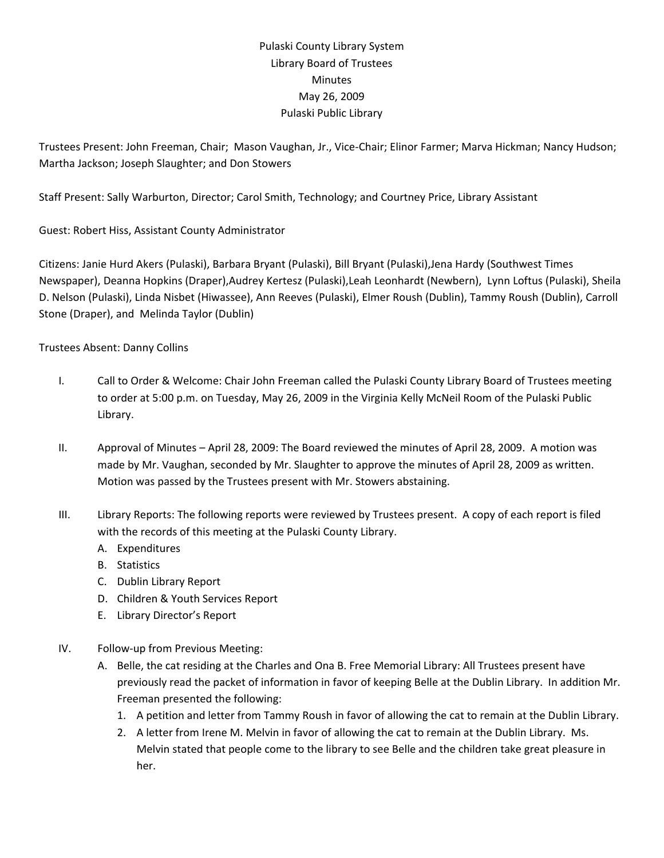## Pulaski County Library System Library Board of Trustees **Minutes** May 26, 2009 Pulaski Public Library

Trustees Present: John Freeman, Chair; Mason Vaughan, Jr., Vice‐Chair; Elinor Farmer; Marva Hickman; Nancy Hudson; Martha Jackson; Joseph Slaughter; and Don Stowers

Staff Present: Sally Warburton, Director; Carol Smith, Technology; and Courtney Price, Library Assistant

Guest: Robert Hiss, Assistant County Administrator

Citizens: Janie Hurd Akers (Pulaski), Barbara Bryant (Pulaski), Bill Bryant (Pulaski),Jena Hardy (Southwest Times Newspaper), Deanna Hopkins (Draper),Audrey Kertesz (Pulaski),Leah Leonhardt (Newbern), Lynn Loftus (Pulaski), Sheila D. Nelson (Pulaski), Linda Nisbet (Hiwassee), Ann Reeves (Pulaski), Elmer Roush (Dublin), Tammy Roush (Dublin), Carroll Stone (Draper), and Melinda Taylor (Dublin)

## Trustees Absent: Danny Collins

- I. Call to Order & Welcome: Chair John Freeman called the Pulaski County Library Board of Trustees meeting to order at 5:00 p.m. on Tuesday, May 26, 2009 in the Virginia Kelly McNeil Room of the Pulaski Public Library.
- II. Approval of Minutes April 28, 2009: The Board reviewed the minutes of April 28, 2009. A motion was made by Mr. Vaughan, seconded by Mr. Slaughter to approve the minutes of April 28, 2009 as written. Motion was passed by the Trustees present with Mr. Stowers abstaining.
- III. Library Reports: The following reports were reviewed by Trustees present. A copy of each report is filed with the records of this meeting at the Pulaski County Library.
	- A. Expenditures
	- B. Statistics
	- C. Dublin Library Report
	- D. Children & Youth Services Report
	- E. Library Director's Report
- IV. Follow‐up from Previous Meeting:
	- A. Belle, the cat residing at the Charles and Ona B. Free Memorial Library: All Trustees present have previously read the packet of information in favor of keeping Belle at the Dublin Library. In addition Mr. Freeman presented the following:
		- 1. A petition and letter from Tammy Roush in favor of allowing the cat to remain at the Dublin Library.
		- 2. A letter from Irene M. Melvin in favor of allowing the cat to remain at the Dublin Library. Ms. Melvin stated that people come to the library to see Belle and the children take great pleasure in her.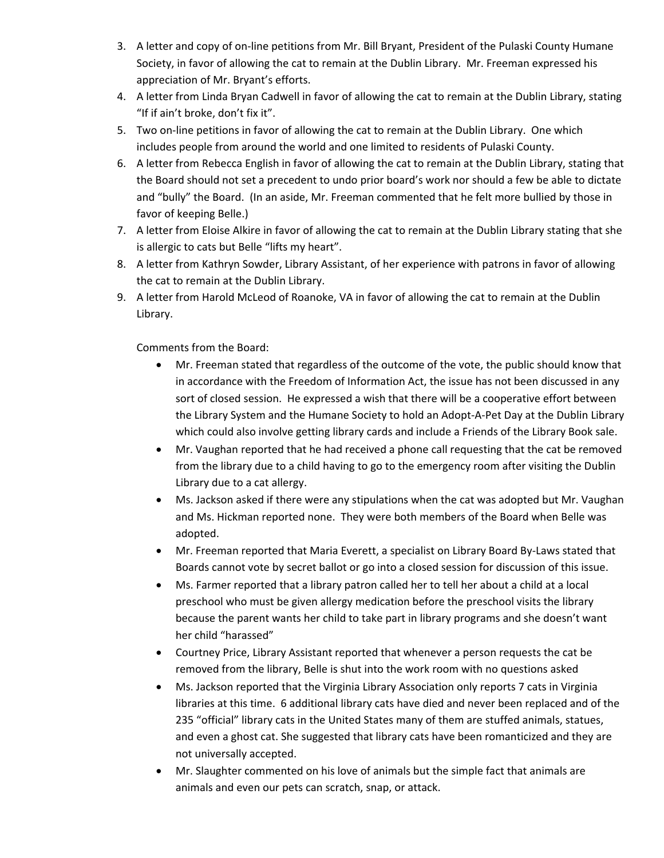- 3. A letter and copy of on‐line petitions from Mr. Bill Bryant, President of the Pulaski County Humane Society, in favor of allowing the cat to remain at the Dublin Library. Mr. Freeman expressed his appreciation of Mr. Bryant's efforts.
- 4. A letter from Linda Bryan Cadwell in favor of allowing the cat to remain at the Dublin Library, stating "If if ain't broke, don't fix it".
- 5. Two on-line petitions in favor of allowing the cat to remain at the Dublin Library. One which includes people from around the world and one limited to residents of Pulaski County.
- 6. A letter from Rebecca English in favor of allowing the cat to remain at the Dublin Library, stating that the Board should not set a precedent to undo prior board's work nor should a few be able to dictate and "bully" the Board. (In an aside, Mr. Freeman commented that he felt more bullied by those in favor of keeping Belle.)
- 7. A letter from Eloise Alkire in favor of allowing the cat to remain at the Dublin Library stating that she is allergic to cats but Belle "lifts my heart".
- 8. A letter from Kathryn Sowder, Library Assistant, of her experience with patrons in favor of allowing the cat to remain at the Dublin Library.
- 9. A letter from Harold McLeod of Roanoke, VA in favor of allowing the cat to remain at the Dublin Library.

Comments from the Board:

- Mr. Freeman stated that regardless of the outcome of the vote, the public should know that in accordance with the Freedom of Information Act, the issue has not been discussed in any sort of closed session. He expressed a wish that there will be a cooperative effort between the Library System and the Humane Society to hold an Adopt‐A‐Pet Day at the Dublin Library which could also involve getting library cards and include a Friends of the Library Book sale.
- Mr. Vaughan reported that he had received a phone call requesting that the cat be removed from the library due to a child having to go to the emergency room after visiting the Dublin Library due to a cat allergy.
- Ms. Jackson asked if there were any stipulations when the cat was adopted but Mr. Vaughan and Ms. Hickman reported none. They were both members of the Board when Belle was adopted.
- Mr. Freeman reported that Maria Everett, a specialist on Library Board By‐Laws stated that Boards cannot vote by secret ballot or go into a closed session for discussion of this issue.
- Ms. Farmer reported that a library patron called her to tell her about a child at a local preschool who must be given allergy medication before the preschool visits the library because the parent wants her child to take part in library programs and she doesn't want her child "harassed"
- Courtney Price, Library Assistant reported that whenever a person requests the cat be removed from the library, Belle is shut into the work room with no questions asked
- Ms. Jackson reported that the Virginia Library Association only reports 7 cats in Virginia libraries at this time. 6 additional library cats have died and never been replaced and of the 235 "official" library cats in the United States many of them are stuffed animals, statues, and even a ghost cat. She suggested that library cats have been romanticized and they are not universally accepted.
- Mr. Slaughter commented on his love of animals but the simple fact that animals are animals and even our pets can scratch, snap, or attack.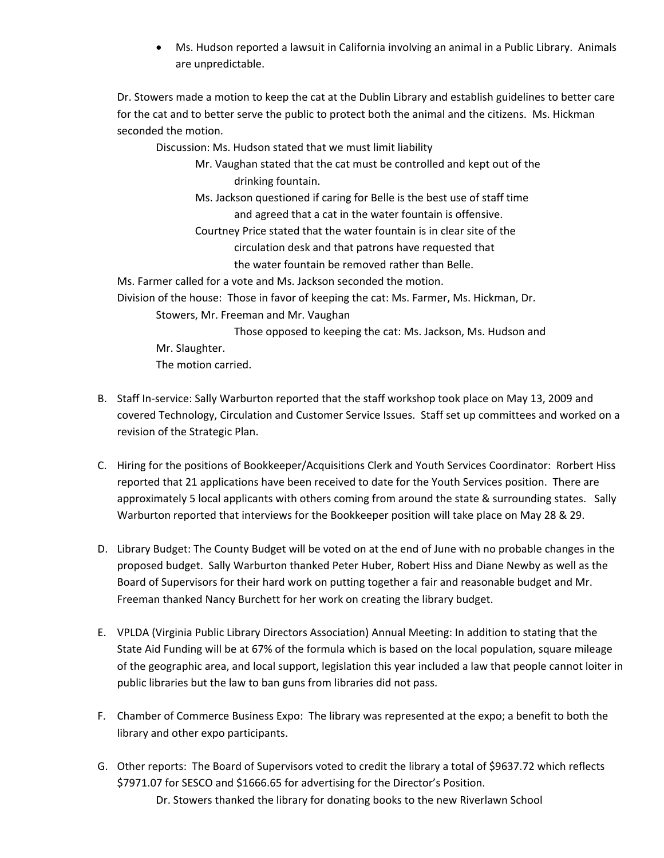• Ms. Hudson reported a lawsuit in California involving an animal in a Public Library. Animals are unpredictable.

Dr. Stowers made a motion to keep the cat at the Dublin Library and establish guidelines to better care for the cat and to better serve the public to protect both the animal and the citizens. Ms. Hickman seconded the motion.

Discussion: Ms. Hudson stated that we must limit liability

- Mr. Vaughan stated that the cat must be controlled and kept out of the drinking fountain.
- Ms. Jackson questioned if caring for Belle is the best use of staff time and agreed that a cat in the water fountain is offensive.
- Courtney Price stated that the water fountain is in clear site of the circulation desk and that patrons have requested that the water fountain be removed rather than Belle.

Ms. Farmer called for a vote and Ms. Jackson seconded the motion.

Division of the house: Those in favor of keeping the cat: Ms. Farmer, Ms. Hickman, Dr.

Stowers, Mr. Freeman and Mr. Vaughan

 Those opposed to keeping the cat: Ms. Jackson, Ms. Hudson and Mr. Slaughter. The motion carried.

- B. Staff In‐service: Sally Warburton reported that the staff workshop took place on May 13, 2009 and covered Technology, Circulation and Customer Service Issues. Staff set up committees and worked on a revision of the Strategic Plan.
- C. Hiring for the positions of Bookkeeper/Acquisitions Clerk and Youth Services Coordinator: Rorbert Hiss reported that 21 applications have been received to date for the Youth Services position. There are approximately 5 local applicants with others coming from around the state & surrounding states. Sally Warburton reported that interviews for the Bookkeeper position will take place on May 28 & 29.
- D. Library Budget: The County Budget will be voted on at the end of June with no probable changes in the proposed budget. Sally Warburton thanked Peter Huber, Robert Hiss and Diane Newby as well as the Board of Supervisors for their hard work on putting together a fair and reasonable budget and Mr. Freeman thanked Nancy Burchett for her work on creating the library budget.
- E. VPLDA (Virginia Public Library Directors Association) Annual Meeting: In addition to stating that the State Aid Funding will be at 67% of the formula which is based on the local population, square mileage of the geographic area, and local support, legislation this year included a law that people cannot loiter in public libraries but the law to ban guns from libraries did not pass.
- F. Chamber of Commerce Business Expo: The library was represented at the expo; a benefit to both the library and other expo participants.
- G. Other reports: The Board of Supervisors voted to credit the library a total of \$9637.72 which reflects \$7971.07 for SESCO and \$1666.65 for advertising for the Director's Position. Dr. Stowers thanked the library for donating books to the new Riverlawn School